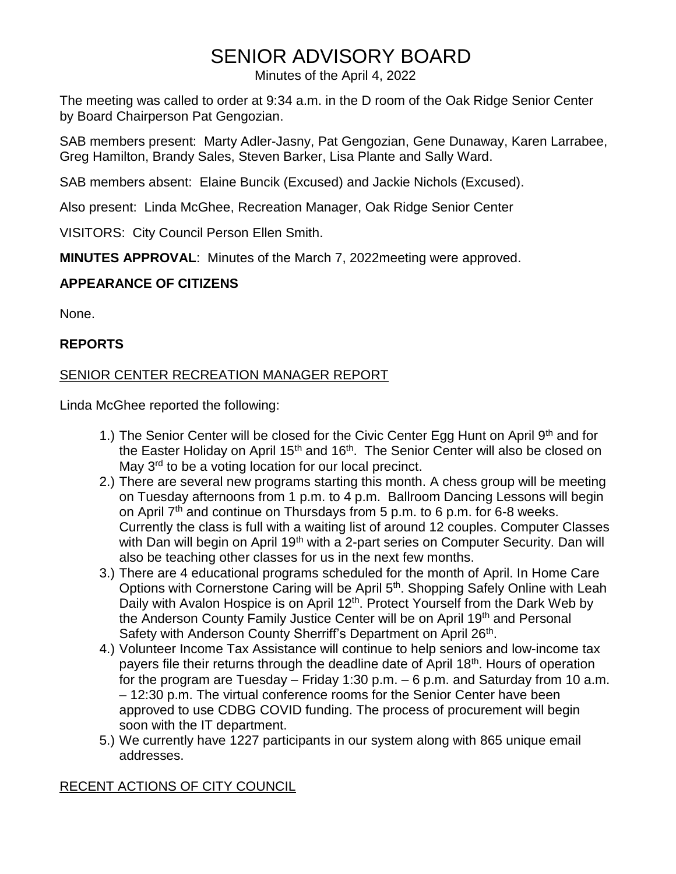# SENIOR ADVISORY BOARD

Minutes of the April 4, 2022

The meeting was called to order at 9:34 a.m. in the D room of the Oak Ridge Senior Center by Board Chairperson Pat Gengozian.

SAB members present: Marty Adler-Jasny, Pat Gengozian, Gene Dunaway, Karen Larrabee, Greg Hamilton, Brandy Sales, Steven Barker, Lisa Plante and Sally Ward.

SAB members absent: Elaine Buncik (Excused) and Jackie Nichols (Excused).

Also present: Linda McGhee, Recreation Manager, Oak Ridge Senior Center

VISITORS: City Council Person Ellen Smith.

**MINUTES APPROVAL**: Minutes of the March 7, 2022meeting were approved.

# **APPEARANCE OF CITIZENS**

None.

# **REPORTS**

# SENIOR CENTER RECREATION MANAGER REPORT

Linda McGhee reported the following:

- 1.) The Senior Center will be closed for the Civic Center Egg Hunt on April 9<sup>th</sup> and for the Easter Holiday on April 15<sup>th</sup> and 16<sup>th</sup>. The Senior Center will also be closed on May 3<sup>rd</sup> to be a voting location for our local precinct.
- 2.) There are several new programs starting this month. A chess group will be meeting on Tuesday afternoons from 1 p.m. to 4 p.m. Ballroom Dancing Lessons will begin on April  $7<sup>th</sup>$  and continue on Thursdays from 5 p.m. to 6 p.m. for 6-8 weeks. Currently the class is full with a waiting list of around 12 couples. Computer Classes with Dan will begin on April 19<sup>th</sup> with a 2-part series on Computer Security. Dan will also be teaching other classes for us in the next few months.
- 3.) There are 4 educational programs scheduled for the month of April. In Home Care Options with Cornerstone Caring will be April 5<sup>th</sup>. Shopping Safely Online with Leah Daily with Avalon Hospice is on April 12<sup>th</sup>. Protect Yourself from the Dark Web by the Anderson County Family Justice Center will be on April 19<sup>th</sup> and Personal Safety with Anderson County Sherriff's Department on April 26<sup>th</sup>.
- 4.) Volunteer Income Tax Assistance will continue to help seniors and low-income tax payers file their returns through the deadline date of April 18<sup>th</sup>. Hours of operation for the program are Tuesday – Friday 1:30 p.m. – 6 p.m. and Saturday from 10 a.m. – 12:30 p.m. The virtual conference rooms for the Senior Center have been approved to use CDBG COVID funding. The process of procurement will begin soon with the IT department.
- 5.) We currently have 1227 participants in our system along with 865 unique email addresses.

# RECENT ACTIONS OF CITY COUNCIL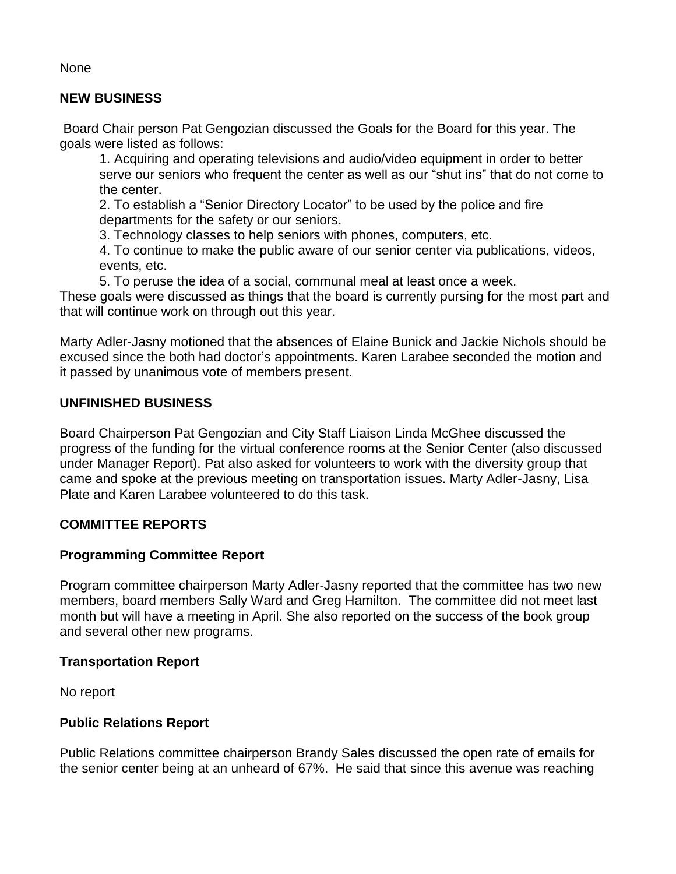**None** 

## **NEW BUSINESS**

Board Chair person Pat Gengozian discussed the Goals for the Board for this year. The goals were listed as follows:

1. Acquiring and operating televisions and audio/video equipment in order to better serve our seniors who frequent the center as well as our "shut ins" that do not come to the center.

2. To establish a "Senior Directory Locator" to be used by the police and fire departments for the safety or our seniors.

3. Technology classes to help seniors with phones, computers, etc.

4. To continue to make the public aware of our senior center via publications, videos, events, etc.

5. To peruse the idea of a social, communal meal at least once a week.

These goals were discussed as things that the board is currently pursing for the most part and that will continue work on through out this year.

Marty Adler-Jasny motioned that the absences of Elaine Bunick and Jackie Nichols should be excused since the both had doctor's appointments. Karen Larabee seconded the motion and it passed by unanimous vote of members present.

# **UNFINISHED BUSINESS**

Board Chairperson Pat Gengozian and City Staff Liaison Linda McGhee discussed the progress of the funding for the virtual conference rooms at the Senior Center (also discussed under Manager Report). Pat also asked for volunteers to work with the diversity group that came and spoke at the previous meeting on transportation issues. Marty Adler-Jasny, Lisa Plate and Karen Larabee volunteered to do this task.

#### **COMMITTEE REPORTS**

# **Programming Committee Report**

Program committee chairperson Marty Adler-Jasny reported that the committee has two new members, board members Sally Ward and Greg Hamilton. The committee did not meet last month but will have a meeting in April. She also reported on the success of the book group and several other new programs.

#### **Transportation Report**

No report

# **Public Relations Report**

Public Relations committee chairperson Brandy Sales discussed the open rate of emails for the senior center being at an unheard of 67%. He said that since this avenue was reaching